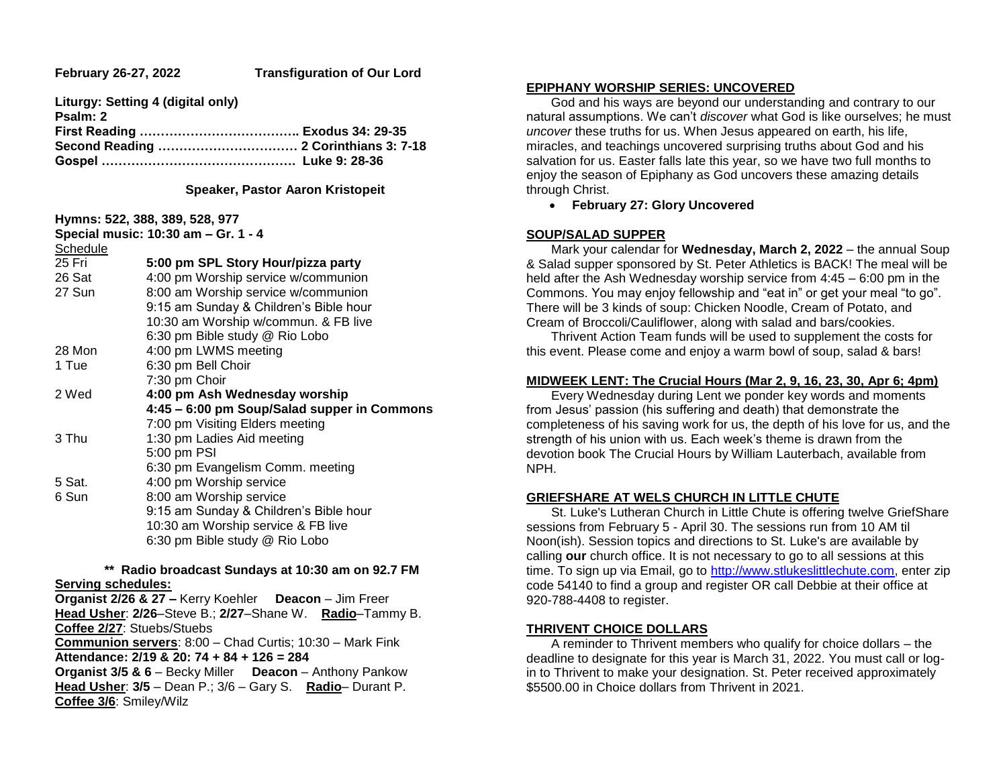| Liturgy: Setting 4 (digital only) |  |
|-----------------------------------|--|
| Psalm: 2                          |  |
|                                   |  |
|                                   |  |
|                                   |  |
|                                   |  |

#### **Speaker, Pastor Aaron Kristopeit**

|          | Hymns: 522, 388, 389, 528, 977              |
|----------|---------------------------------------------|
|          | Special music: 10:30 am - Gr. 1 - 4         |
| Schedule |                                             |
| 25 Fri   | 5:00 pm SPL Story Hour/pizza party          |
| 26 Sat   | 4:00 pm Worship service w/communion         |
| 27 Sun   | 8:00 am Worship service w/communion         |
|          | 9:15 am Sunday & Children's Bible hour      |
|          | 10:30 am Worship w/commun. & FB live        |
|          | 6:30 pm Bible study @ Rio Lobo              |
| 28 Mon   | 4:00 pm LWMS meeting                        |
| 1 Tue    | 6:30 pm Bell Choir                          |
|          | 7:30 pm Choir                               |
| 2 Wed    | 4:00 pm Ash Wednesday worship               |
|          | 4:45 - 6:00 pm Soup/Salad supper in Commons |
|          | 7:00 pm Visiting Elders meeting             |
| 3 Thu    | 1:30 pm Ladies Aid meeting                  |
|          | 5:00 pm PSI                                 |
|          | 6:30 pm Evangelism Comm. meeting            |
| 5 Sat.   | 4:00 pm Worship service                     |
| 6 Sun    | 8:00 am Worship service                     |
|          | 9:15 am Sunday & Children's Bible hour      |
|          | 10:30 am Worship service & FB live          |
|          | 6:30 pm Bible study @ Rio Lobo              |

#### **\*\* Radio broadcast Sundays at 10:30 am on 92.7 FM Serving schedules:**

**Organist 2/26 & 27 –** Kerry Koehler **Deacon** – Jim Freer **Head Usher**: **2/26**–Steve B.; **2/27**–Shane W. **Radio**–Tammy B. **Coffee 2/27**: Stuebs/Stuebs **Communion servers**: 8:00 – Chad Curtis; 10:30 – Mark Fink **Attendance: 2/19 & 20: 74 + 84 + 126 = 284 Organist 3/5 & 6** – Becky Miller **Deacon** – Anthony Pankow **Head Usher**: **3/5** – Dean P.; 3/6 – Gary S. **Radio**– Durant P.

**Coffee 3/6**: Smiley/Wilz

#### **EPIPHANY WORSHIP SERIES: UNCOVERED**

 God and his ways are beyond our understanding and contrary to our natural assumptions. We can't *discover* what God is like ourselves; he must *uncover* these truths for us. When Jesus appeared on earth, his life, miracles, and teachings uncovered surprising truths about God and his salvation for us. Easter falls late this year, so we have two full months to enjoy the season of Epiphany as God uncovers these amazing details through Christ.

**February 27: Glory Uncovered**

## **SOUP/SALAD SUPPER**

 Mark your calendar for **Wednesday, March 2, 2022** – the annual Soup & Salad supper sponsored by St. Peter Athletics is BACK! The meal will be held after the Ash Wednesday worship service from 4:45 – 6:00 pm in the Commons. You may enjoy fellowship and "eat in" or get your meal "to go". There will be 3 kinds of soup: Chicken Noodle, Cream of Potato, and Cream of Broccoli/Cauliflower, along with salad and bars/cookies.

 Thrivent Action Team funds will be used to supplement the costs for this event. Please come and enjoy a warm bowl of soup, salad & bars!

### **MIDWEEK LENT: The Crucial Hours (Mar 2, 9, 16, 23, 30, Apr 6; 4pm)**

 Every Wednesday during Lent we ponder key words and moments from Jesus' passion (his suffering and death) that demonstrate the completeness of his saving work for us, the depth of his love for us, and the strength of his union with us. Each week's theme is drawn from the devotion book The Crucial Hours by William Lauterbach, available from NPH.

# **GRIEFSHARE AT WELS CHURCH IN LITTLE CHUTE**

 St. Luke's Lutheran Church in Little Chute is offering twelve GriefShare sessions from February 5 - April 30. The sessions run from 10 AM til Noon(ish). Session topics and directions to St. Luke's are available by calling **our** church office. It is not necessary to go to all sessions at this time. To sign up via Email, go to [http://www.stlukeslittlechute.com,](https://linkprotect.cudasvc.com/url?a=http%3a%2f%2fwww.stlukeslittlechute.com%2f&c=E,1,FAqFwqYN02kD1lLvLf3rvH6LXKmLWPQMrCDiNOX8thUKL7_GLmpEMQGFAJsEiU30Bd8rdpC7LK8iaw7dU9q1__OIZRI0w2bkK68ySR2-V848zDXoNj_-&typo=1) enter zip code 54140 to find a group and register OR call Debbie at their office at 920-788-4408 to register.

# **THRIVENT CHOICE DOLLARS**

 A reminder to Thrivent members who qualify for choice dollars – the deadline to designate for this year is March 31, 2022. You must call or login to Thrivent to make your designation. St. Peter received approximately \$5500.00 in Choice dollars from Thrivent in 2021.